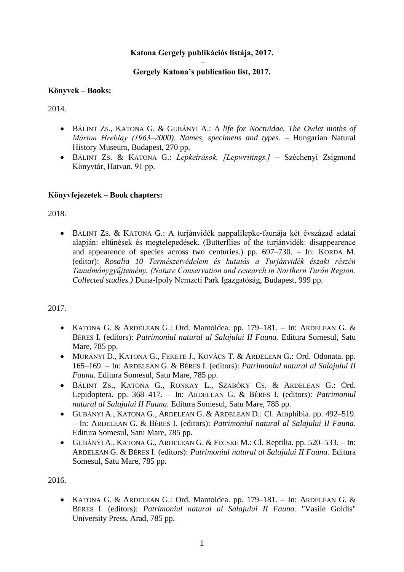# **Katona Gergely publikációs listája, 2017.**

#### **– Gergely Katona's publication list, 2017.**

#### **Könyvek – Books:**

2014.

- BÁLINT ZS., KATONA G. & GUBÁNYI A.: *A life for Noctuidae. The Owlet moths of Márton Hreblay (1963–2000). Names, specimens and types*. – Hungarian Natural History Museum, Budapest, 270 pp.
- BÁLINT ZS. & KATONA G.: *Lepkeírások. [Lepwritings.]* Széchenyi Zsigmond Könyvtár, Hatvan, 91 pp.

### **Könyvfejezetek – Book chapters:**

2018.

 BÁLINT ZS. & KATONA G.: A turjánvidék nappalilepke-faunája két évszázad adatai alapján: eltűnések és megtelepedések. (Butterflies of the turjánvidék: disappearence and appearence of species across two centuries.) pp. 697–730. – In: KORDA M. (editor): *Rosalia 10 Természetvédelem és kutatás a Turjánvidék északi részén Tanulmánygyűjtemény. (Nature Conservation and research in Northern Turán Region. Collected studies.)* Duna-Ipoly Nemzeti Park Igazgatóság, Budapest, 999 pp.

### 2017.

- KATONA G. & ARDELEAN G.: Ord. Mantoidea. pp. 179–181. In: ARDELEAN G. & BÉRES I. (editors): *Patrimoniul natural al Salajului II Fauna.* Editura Somesul, Satu Mare, 785 pp.
- MURÁNYI D., KATONA G., FEKETE J., KOVÁCS T. & ARDELEAN G.: Ord. Odonata. pp. 165–169. – In: ARDELEAN G. & BÉRES I. (editors): *Patrimoniul natural al Salajului II Fauna.* Editura Somesul, Satu Mare, 785 pp.
- BÁLINT ZS., KATONA G., RONKAY L., SZABÓKY CS. & ARDELEAN G.: Ord. Lepidoptera. pp. 368–417. – In: ARDELEAN G. & BÉRES I. (editors): *Patrimoniul natural al Salajului II Fauna.* Editura Somesul, Satu Mare, 785 pp.
- GUBÁNYI A., KATONA G., ARDELEAN G. & ARDELEAN D.: Cl. Amphibia. pp. 492–519. – In: ARDELEAN G. & BÉRES I. (editors): *Patrimoniul natural al Salajului II Fauna.* Editura Somesul, Satu Mare, 785 pp.
- GUBÁNYI A., KATONA G., ARDELEAN G. & FECSKE M.: Cl. Reptilia. pp. 520–533. In: ARDELEAN G. & BÉRES I. (editors): *Patrimoniul natural al Salajului II Fauna.* Editura Somesul, Satu Mare, 785 pp.

2016.

 KATONA G. & ARDELEAN G.: Ord. Mantoidea. pp. 179–181. – In: ARDELEAN G. & BÉRES I. (editors): *Patrimoniul natural al Salajului II Fauna.* "Vasile Goldis" University Press, Arad, 785 pp.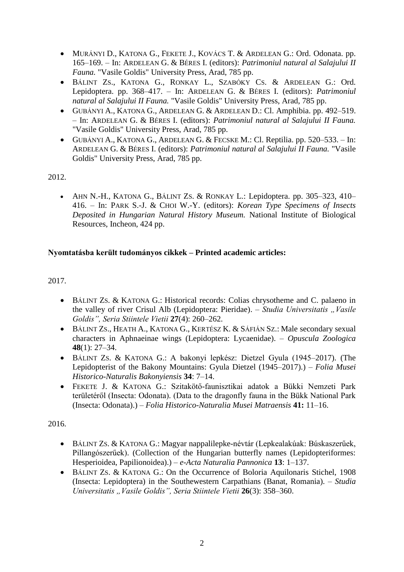- MURÁNYI D., KATONA G., FEKETE J., KOVÁCS T. & ARDELEAN G.: Ord. Odonata. pp. 165–169. – In: ARDELEAN G. & BÉRES I. (editors): *Patrimoniul natural al Salajului II Fauna.* "Vasile Goldis" University Press, Arad, 785 pp.
- BÁLINT ZS., KATONA G., RONKAY L., SZABÓKY CS. & ARDELEAN G.: Ord. Lepidoptera. pp. 368–417. – In: ARDELEAN G. & BÉRES I. (editors): *Patrimoniul natural al Salajului II Fauna.* "Vasile Goldis" University Press, Arad, 785 pp.
- GUBÁNYI A., KATONA G., ARDELEAN G. & ARDELEAN D.: Cl. Amphibia. pp. 492–519. – In: ARDELEAN G. & BÉRES I. (editors): *Patrimoniul natural al Salajului II Fauna.* "Vasile Goldis" University Press, Arad, 785 pp.
- GUBÁNYI A., KATONA G., ARDELEAN G. & FECSKE M.: Cl. Reptilia. pp. 520–533. In: ARDELEAN G. & BÉRES I. (editors): *Patrimoniul natural al Salajului II Fauna.* "Vasile Goldis" University Press, Arad, 785 pp.

 AHN N.-H., KATONA G., BÁLINT ZS. & RONKAY L.: Lepidoptera. pp. 305–323, 410– 416. – In: PARK S.-J. & CHOI W.-Y. (editors): *Korean Type Specimens of Insects Deposited in Hungarian Natural History Museum.* National Institute of Biological Resources, Incheon, 424 pp.

# **Nyomtatásba került tudományos cikkek – Printed academic articles:**

2017.

- BÁLINT ZS. & KATONA G.: Historical records: Colias chrysotheme and C. palaeno in the valley of river Crisul Alb (Lepidoptera: Pieridae). – *Studia Universitatis* "*Vasile Goldis", Seria Stiintele Vietii* **27**(4): 260–262.
- BÁLINT ZS., HEATH A., KATONA G., KERTÉSZ K. & SÁFIÁN SZ.: Male secondary sexual characters in Aphnaeinae wings (Lepidoptera: Lycaenidae). – *Opuscula Zoologica* **48**(1): 27–34.
- BÁLINT ZS. & KATONA G.: A bakonyi lepkész: Dietzel Gyula (1945–2017). (The Lepidopterist of the Bakony Mountains: Gyula Dietzel (1945–2017).) – *Folia Musei Historico-Naturalis Bakonyiensis* **34**: 7–14.
- FEKETE J. & KATONA G.: Szitakötő-faunisztikai adatok a Bükki Nemzeti Park területéről (Insecta: Odonata). (Data to the dragonfly fauna in the Bükk National Park (Insecta: Odonata).) – *Folia Historico-Naturalia Musei Matraensis* **41:** 11–16.

- BÁLINT ZS. & KATONA G.: Magyar nappalilepke-névtár (Lepkealakúak: Búskaszerűek, Pillangószerűek). (Collection of the Hungarian butterfly names (Lepidopteriformes: Hesperioidea, Papilionoidea).) – *e-Acta Naturalia Pannonica* **13**: 1–137.
- BÁLINT ZS. & KATONA G.: On the Occurrence of Boloria Aquilonaris Stichel, 1908 (Insecta: Lepidoptera) in the Southewestern Carpathians (Banat, Romania). – *Studia Universitatis "Vasile Goldis", Seria Stiintele Vietii* **26**(3): 358–360.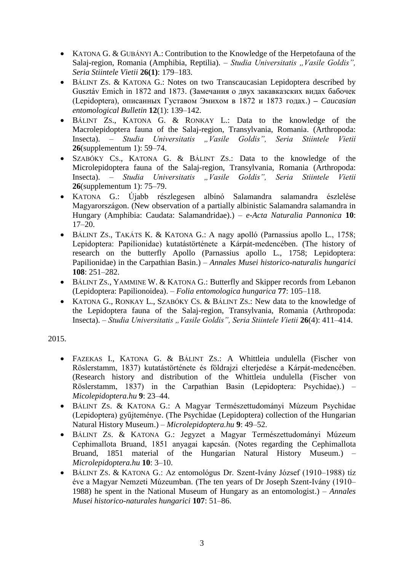- KATONA G. & GUBÁNYI A.: Contribution to the Knowledge of the Herpetofauna of the Salaj-region, Romania (Amphibia, Reptilia). – *Studia Universitatis "Vasile Goldis"*. *Seria Stiintele Vietii* **26(1)**: 179–183.
- BÁLINT ZS. & KATONA G.: Notes on two Transcaucasian Lepidoptera described by Gusztáv Emich in 1872 and 1873. (Замечания о двух закавказских видах бабочек (Lepidoptera), описанных Густавом Эмихом в 1872 и 1873 годах.) **–** *Caucasian entomological Bulletin* **12**(1): 139–142.
- BÁLINT ZS., KATONA G. & RONKAY L.: Data to the knowledge of the Macrolepidoptera fauna of the Salaj-region, Transylvania, Romania. (Arthropoda: Insecta). – *Studia Universitatis* "*Vasile Goldis"*, *Seria Stiintele Vietii* **26**(supplementum 1): 59–74.
- SZABÓKY CS., KATONA G. & BÁLINT ZS.: Data to the knowledge of the Microlepidoptera fauna of the Salaj-region, Transylvania, Romania (Arthropoda: Insecta). – *Studia Universitatis "Vasile Goldis", Seria Stiintele Vietii* **26**(supplementum 1): 75–79.
- KATONA G.: Újabb részlegesen albínó Salamandra salamandra észlelése Magyarországon. (New observation of a partially albinistic Salamandra salamandra in Hungary (Amphibia: Caudata: Salamandridae).) – *e-Acta Naturalia Pannonica* **10**: 17–20.
- BÁLINT ZS., TAKÁTS K. & KATONA G.: A nagy apolló (Parnassius apollo L., 1758; Lepidoptera: Papilionidae) kutatástörténete a Kárpát-medencében. (The history of research on the butterfly Apollo (Parnassius apollo L., 1758; Lepidoptera: Papilionidae) in the Carpathian Basin.) – *Annales Musei historico-naturalis hungarici* **108**: 251–282.
- BÁLINT ZS., YAMMINE W. & KATONA G.: Butterfly and Skipper records from Lebanon (Lepidoptera: Papilionoidea). – *Folia entomologica hungarica* **77**: 105–118.
- KATONA G., RONKAY L., SZABÓKY CS. & BÁLINT ZS.: New data to the knowledge of the Lepidoptera fauna of the Salaj-region, Transylvania, Romania (Arthropoda: Insecta). – *Studia Universitatis "Vasile Goldis", Seria Stiintele Vietii* 26(4): 411–414.

- FAZEKAS I., KATONA G. & BÁLINT ZS.: A Whittleia undulella (Fischer von Röslerstamm, 1837) kutatástörténete és földrajzi elterjedése a Kárpát-medencében. (Research history and distribution of the Whittleia undulella (Fischer von Röslerstamm, 1837) in the Carpathian Basin (Lepidoptera: Psychidae).) – *Micolepidoptera.hu* **9**: 23–44.
- BÁLINT ZS. & KATONA G.: A Magyar Természettudományi Múzeum Psychidae (Lepidoptera) gyűjteménye. (The Psychidae (Lepidoptera) collection of the Hungarian Natural History Museum.) – *Microlepidoptera.hu* **9**: 49–52.
- BÁLINT ZS. & KATONA G.: Jegyzet a Magyar Természettudományi Múzeum Cephimallota Bruand, 1851 anyagai kapcsán. (Notes regarding the Cephimallota Bruand, 1851 material of the Hungarian Natural History Museum.) – *Microlepidoptera.hu* **10**: 3–10.
- BÁLINT ZS. & KATONA G.: Az entomológus Dr. Szent-Ivány József (1910–1988) tíz éve a Magyar Nemzeti Múzeumban. (The ten years of Dr Joseph Szent-Ivány (1910– 1988) he spent in the National Museum of Hungary as an entomologist.) – *Annales Musei historico-naturales hungarici* **107**: 51–86.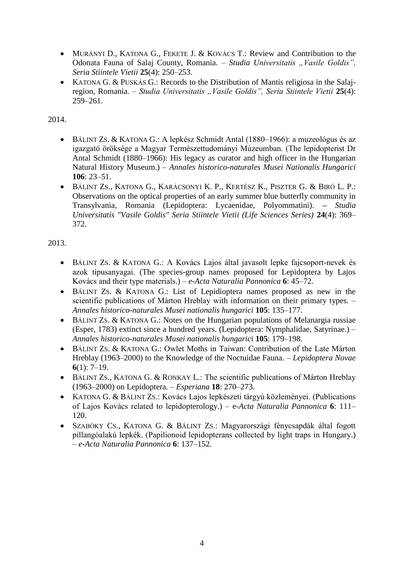- MURÁNYI D., KATONA G., FEKETE J. & KOVÁCS T.: Review and Contribution to the Odonata Fauna of Salaj County, Romania. - Studia Universitatis "Vasile Goldis", *Seria Stiintele Vietii* **25**(4): 250–253.
- KATONA G. & PUSKÁS G.: Records to the Distribution of Mantis religiosa in the Salajregion, Romania. – *Studia Universitatis "Vasile Goldis", Seria Stiintele Vietii* 25(4): 259–261.

- BÁLINT ZS. & KATONA G.: A lepkész Schmidt Antal (1880–1966): a muzeológus és az igazgató öröksége a Magyar Természettudományi Múzeumban. (The lepidopterist Dr Antal Schmidt (1880–1966): His legacy as curator and high officer in the Hungarian Natural History Museum.) – *Annales historico-naturales Musei Nationalis Hungarici* **106**: 23–51.
- BÁLINT ZS., KATONA G., KARÁCSONYI K. P., KERTÉSZ K., PISZTER G. & BIRÓ L. P.: Observations on the optical properties of an early summer blue butterfly community in Transylvania, Romania (Lepidoptera: Lycaenidae, Polyommatini). **–** *Studia Universitatis "Vasile Goldis" Seria Stiintele Vietii (Life Sciences Series)* **24**(4): 369– 372.

- BÁLINT ZS. & KATONA G.: A Kovács Lajos által javasolt lepke fajcsoport-nevek és azok típusanyagai. (The species-group names proposed for Lepidoptera by Lajos Kovács and their type materials.) – *e-Acta Naturalia Pannonica* **6**: 45–72.
- BÁLINT ZS. & KATONA G.: List of Lepidioptera names proposed as new in the scientific publications of Márton Hreblay with information on their primary types. – *Annales historico-naturales Musei nationalis hungarici* **105**: 135–177.
- BÁLINT ZS. & KATONA G.: Notes on the Hungarian populations of Melanargia russiae (Esper, 1783) extinct since a hundred years. (Lepidoptera: Nymphalidae, Satyrinae.) – *Annales historico-naturales Musei nationalis hungaric*i **105**: 179–198.
- BÁLINT ZS. & KATONA G.: Owlet Moths in Taiwan: Contribution of the Late Márton Hreblay (1963–2000) to the Knowledge of the Noctuidae Fauna. – *Lepidoptera Novae* **6**(1): 7–19.
- BÁLINT ZS., KATONA G. & RONKAY L.: The scientific publications of Márton Hreblay (1963–2000) on Lepidoptera. – *Esperiana* **18**: 270–273.
- KATONA G. & BÁLINT ZS.: Kovács Lajos lepkészeti tárgyú közleményei. (Publications of Lajos Kovács related to lepidopterology.) – e*-Acta Naturalia Pannonica* **6**: 111– 120.
- SZABÓKY CS., KATONA G. & BÁLINT ZS.: Magyarországi fénycsapdák által fogott pillangóalakú lepkék. (Papilionoid lepidopterans collected by light traps in Hungary.) – *e-Acta Naturalia Pannonica* **6**: 137–152.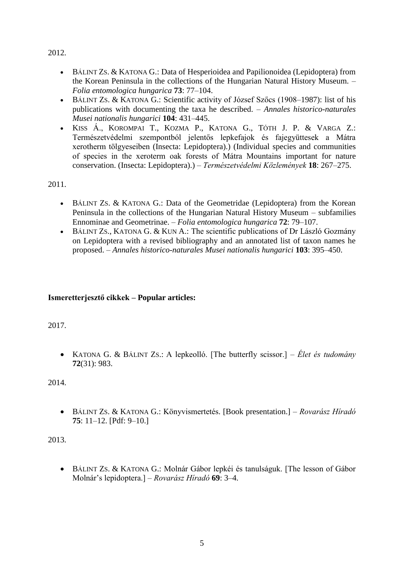- BÁLINT ZS. & KATONA G.: Data of Hesperioidea and Papilionoidea (Lepidoptera) from the Korean Peninsula in the collections of the Hungarian Natural History Museum. – *Folia entomologica hungarica* **73**: 77–104.
- BÁLINT ZS. & KATONA G.: Scientific activity of József Szőcs (1908–1987): list of his publications with documenting the taxa he described. – *Annales historico-naturales Musei nationalis hungarici* **104**: 431–445.
- KISS Á., KOROMPAI T., KOZMA P., KATONA G., TÓTH J. P. & VARGA Z.: Természetvédelmi szempontból jelentős lepkefajok és fajegyüttesek a Mátra xerotherm tölgyeseiben (Insecta: Lepidoptera).) (Individual species and communities of species in the xeroterm oak forests of Mátra Mountains important for nature conservation. (Insecta: Lepidoptera).) – *Természetvédelmi Közlemények* **18**: 267–275.

2011.

- BÁLINT ZS. & KATONA G.: Data of the Geometridae (Lepidoptera) from the Korean Peninsula in the collections of the Hungarian Natural History Museum – subfamilies Ennominae and Geometrinae. – *Folia entomologica hungarica* **72**: 79–107.
- BÁLINT ZS., KATONA G. & KUN A.: The scientific publications of Dr László Gozmány on Lepidoptera with a revised bibliography and an annotated list of taxon names he proposed. – *Annales historico-naturales Musei nationalis hungarici* **103**: 395–450.

# **Ismeretterjesztő cikkek – Popular articles:**

2017.

 KATONA G. & BÁLINT ZS.: A lepkeolló. [The butterfly scissor.] – *Élet és tudomány* **72**(31): 983.

2014.

 BÁLINT ZS. & KATONA G.: Könyvismertetés. [Book presentation.] – *Rovarász Híradó* **75**: 11–12. [Pdf: 9–10.]

2013.

 BÁLINT ZS. & KATONA G.: Molnár Gábor lepkéi és tanulságuk. [The lesson of Gábor Molnár's lepidoptera.] – *Rovarász Híradó* **69**: 3–4.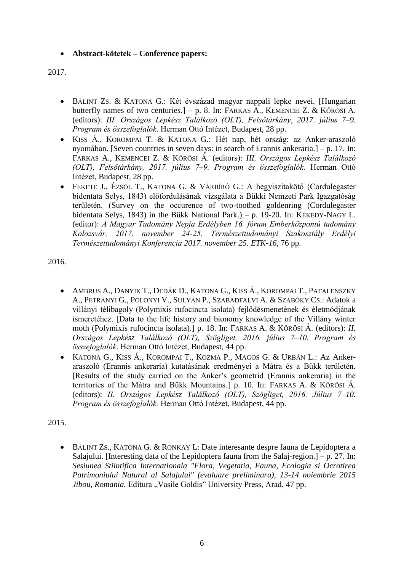### **Abstract-kötetek – Conference papers:**

### 2017.

- BÁLINT ZS. & KATONA G.: Két évszázad magyar nappali lepke nevei. [Hungarian butterfly names of two centuries.] – p. 8. In: FARKAS A., KEMENCEI Z. & KŐRÖSI Á. (editors): *III. Országos Lepkész Találkozó (OLT), Felsőtárkány, 2017. július 7–9. Program és összefoglalók*. Herman Ottó Intézet, Budapest, 28 pp.
- KISS Á., KOROMPAI T. & KATONA G.: Hét nap, hét ország: az Anker-araszoló nyomában. [Seven countries in seven days: in search of Erannis ankeraria.] – p. 17. In: FARKAS A., KEMENCEI Z. & KŐRÖSI Á. (editors): *III. Országos Lepkész Találkozó (OLT), Felsőtárkány, 2017. július 7–9. Program és összefoglalók.* Herman Ottó Intézet, Budapest, 28 pp.
- FEKETE J., ÉZSÖL T., KATONA G. & VÁRBÍRÓ G.: A hegyiszitakötő (Cordulegaster bidentata Selys, 1843) előfordulásának vizsgálata a Bükki Nemzeti Park Igazgatóság területén. (Survey on the occurence of two-toothed goldenring (Cordulegaster bidentata Selys, 1843) in the Bükk National Park.) – p. 19-20. In: KÉKEDY-NAGY L. (editor): *A Magyar Tudomány Nepja Erdélyben 16. fórum Emberközpontú tudomány Kolozsvár, 2017. november 24-25. Természettudományi Szakosztály Erdélyi Természettudományi Konferencia 2017. november 25. ETK-16,* 76 pp.

2016.

- AMBRUS A., DANYIK T., DEDÁK D., KATONA G., KISS Á., KOROMPAI T., PATALENSZKY A., PETRÁNYI G., POLONYI V., SULYÁN P., SZABADFALVI A. & SZABÓKY CS.: Adatok a villányi télibagoly (Polymixis rufocincta isolata) fejlődésmenetének és életmódjának ismeretéhez. [Data to the life history and bionomy knowledge of the Villány winter moth (Polymixis rufocincta isolata).] p. 18. In: FARKAS A. & KŐRÖSI Á. (editors): *II. Országos Lepkész Találkozó (OLT), Szögliget, 2016. július 7–10. Program és összefoglalók*. Herman Ottó Intézet, Budapest, 44 pp.
- KATONA G., KISS Á., KOROMPAI T., KOZMA P., MAGOS G. & URBÁN L.: Az Ankeraraszoló (Erannis ankeraria) kutatásának eredményei a Mátra és a Bükk területén. [Results of the study carried on the Anker's geometrid (Erannis ankeraria) in the territories of the Mátra and Bükk Mountains.] p. 10. In: FARKAS A. & KŐRÖSI Á. (editors): *II. Országos Lepkész Találkozó (OLT), Szögliget, 2016. Július 7–10. Program és összefoglalók.* Herman Ottó Intézet, Budapest, 44 pp.

2015.

 BÁLINT ZS., KATONA G. & RONKAY L: Date interesante despre fauna de Lepidoptera a Salajului. [Interesting data of the Lepidoptera fauna from the Salaj-region.] – p. 27. In: *Sesiunea Stiintifica Internationala "Flora, Vegetatia, Fauna, Ecologia si Ocrotirea Patrimoniului Natural al Salajului" (evaluare preliminara), 13-14 noiembrie 2015 Jibou, Romania.* Editura "Vasile Goldis" University Press, Arad, 47 pp.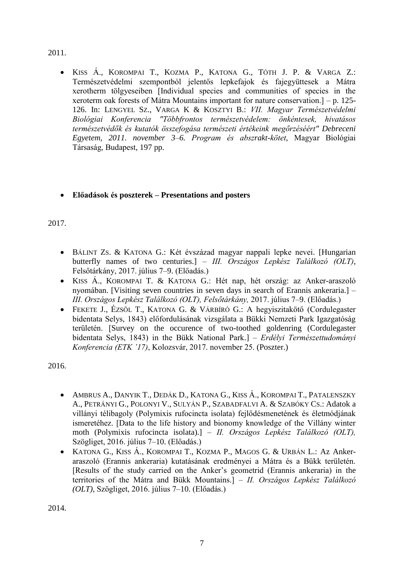KISS Á., KOROMPAI T., KOZMA P., KATONA G., TÓTH J. P. & VARGA Z.: Természetvédelmi szempontból jelentős lepkefajok és fajegyüttesek a Mátra xerotherm tölgyeseiben [Individual species and communities of species in the xeroterm oak forests of Mátra Mountains important for nature conservation.] – p. 125- 126. In: LENGYEL SZ., VARGA K & KOSZTYI B.: *VII. Magyar Természetvédelmi Biológiai Konferencia "Többfrontos természetvédelem: önkéntesek, hivatásos természetvédők és kutatók összefogása természeti értékeink megőrzéséért" Debreceni Egyetem, 2011. november 3–6. Program és abszrakt-kötet*, Magyar Biológiai Társaság, Budapest, 197 pp.

# **Előadások és poszterek – Presentations and posters**

2017.

- BÁLINT ZS. & KATONA G.: Két évszázad magyar nappali lepke nevei. [Hungarian butterfly names of two centuries.] – *III. Országos Lepkész Találkozó (OLT)*, Felsőtárkány, 2017. július 7–9. (Előadás.)
- KISS Á., KOROMPAI T. & KATONA G.: Hét nap, hét ország: az Anker-araszoló nyomában. [Visiting seven countries in seven days in search of Erannis ankeraria.] – *III. Országos Lepkész Találkozó (OLT), Felsőtárkány,* 2017. július 7–9. (Előadás.)
- FEKETE J., ÉZSÖL T., KATONA G. & VÁRBÍRÓ G.: A hegyiszitakötő (Cordulegaster bidentata Selys, 1843) előfordulásának vizsgálata a Bükki Nemzeti Park Igazgatóság területén. [Survey on the occurence of two-toothed goldenring (Cordulegaster bidentata Selys, 1843) in the Bükk National Park.] – *Erdélyi Természettudományi Konferencia (ETK '17)*, Kolozsvár, 2017. november 25. (Poszter.)

2016.

- AMBRUS A., DANYIK T., DEDÁK D., KATONA G., KISS Á., KOROMPAI T., PATALENSZKY A., PETRÁNYI G., POLONYI V., SULYÁN P., SZABADFALVI A. & SZABÓKY CS.: Adatok a villányi télibagoly (Polymixis rufocincta isolata) fejlődésmenetének és életmódjának ismeretéhez. [Data to the life history and bionomy knowledge of the Villány winter moth (Polymixis rufocincta isolata).] – *II. Országos Lepkész Találkozó (OLT),* Szögliget, 2016. július 7–10. (Előadás.)
- KATONA G., KISS Á., KOROMPAI T., KOZMA P., MAGOS G. & URBÁN L.: Az Ankeraraszoló (Erannis ankeraria) kutatásának eredményei a Mátra és a Bükk területén. [Results of the study carried on the Anker's geometrid (Erannis ankeraria) in the territories of the Mátra and Bükk Mountains.] – *II. Országos Lepkész Találkozó (OLT),* Szögliget, 2016. július 7–10. (Előadás.)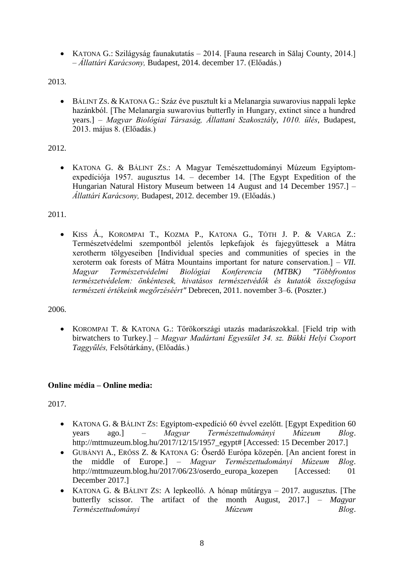• KATONA G.: Szilágyság faunakutatás – 2014. [Fauna research in Sălaj County, 2014.] – *Állattári Karácsony,* Budapest, 2014. december 17. (Előadás.)

2013.

 BÁLINT ZS. & KATONA G.: Száz éve pusztult ki a Melanargia suwarovius nappali lepke hazánkból. [The Melanargia suwarovius butterfly in Hungary, extinct since a hundred years.] – *Magyar Biológiai Társaság, Állattani Szakosztály*, *1010. ülés*, Budapest, 2013. május 8. (Előadás.)

# 2012.

 KATONA G. & BÁLINT ZS.: A Magyar Temészettudományi Múzeum Egyiptomexpedíciója 1957. augusztus 14. – december 14. [The Egypt Expedition of the Hungarian Natural History Museum between 14 August and 14 December 1957.] – *Állattári Karácsony,* Budapest, 2012. december 19. (Előadás.)

### 2011.

 KISS Á., KOROMPAI T., KOZMA P., KATONA G., TÓTH J. P. & VARGA Z.: Természetvédelmi szempontból jelentős lepkefajok és fajegyüttesek a Mátra xerotherm tölgyeseiben [Individual species and communities of species in the xeroterm oak forests of Mátra Mountains important for nature conservation.] – *VII. Magyar Természetvédelmi Biológiai Konferencia (MTBK) "Többfrontos természetvédelem: önkéntesek, hivatásos természetvédők és kutatók összefogása természeti értékeink megőrzéséért"* Debrecen, 2011. november 3–6. (Poszter.)

2006.

 KOROMPAI T. & KATONA G.: Törökországi utazás madarászokkal. [Field trip with birwatchers to Turkey.] – *Magyar Madártani Egyesület 34. sz. Bükki Helyi Csoport Taggyűlés,* Felsőtárkány, (Előadás.)

### **Online média – Online media:**

- KATONA G. & BÁLINT ZS: Egyiptom-expedíció 60 évvel ezelőtt. [Egypt Expedition 60 years ago.] – *Magyar Természettudományi Múzeum Blog*. http://mttmuzeum.blog.hu/2017/12/15/1957\_egypt# [Accessed: 15 December 2017.]
- GUBÁNYI A., ERŐSS Z. & KATONA G: Őserdő Európa közepén. [An ancient forest in the middle of Europe.] – *Magyar Természettudományi Múzeum Blog*. http://mttmuzeum.blog.hu/2017/06/23/oserdo\_europa\_kozepen [Accessed: 01 December 2017.]
- KATONA G. & BÁLINT ZS: A lepkeolló. A hónap műtárgya 2017. augusztus. [The butterfly scissor. The artifact of the month August, 2017.] – *Magyar Természettudományi Múzeum Blog*.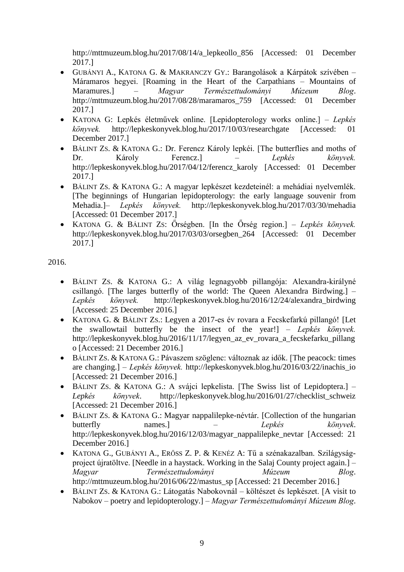http://mttmuzeum.blog.hu/2017/08/14/a\_lepkeollo\_856 [Accessed: 01 December 2017.]

- GUBÁNYI A., KATONA G. & MAKRANCZY GY.: Barangolások a Kárpátok szívében Máramaros hegyei. [Roaming in the Heart of the Carpathians – Mountains of Maramures.] – *Magyar Természettudományi Múzeum Blog*. http://mttmuzeum.blog.hu/2017/08/28/maramaros\_759 [Accessed: 01 December 2017.]
- KATONA G: Lepkés életművek online. [Lepidopterology works online.] *Lepkés könyvek.* http://lepkeskonyvek.blog.hu/2017/10/03/researchgate [Accessed: 01 December 2017.]
- BÁLINT ZS. & KATONA G.: Dr. Ferencz Károly lepkéi. [The butterflies and moths of Dr. Károly Ferencz.] – *Lepkés könyvek.* http://lepkeskonyvek.blog.hu/2017/04/12/ferencz\_karoly [Accessed: 01 December 2017.]
- BÁLINT ZS. & KATONA G.: A magyar lepkészet kezdeteinél: a mehádiai nyelvemlék. [The beginnings of Hungarian lepidopterology: the early language souvenir from Mehadia.]– *Lepkés könyvek.* http://lepkeskonyvek.blog.hu/2017/03/30/mehadia [Accessed: 01 December 2017.]
- KATONA G. & BÁLINT ZS: Őrségben. [In the Őrség region.] *Lepkés könyvek.* http://lepkeskonyvek.blog.hu/2017/03/03/orsegben\_264 [Accessed: 01 December 2017.]

- BÁLINT ZS. & KATONA G.: A világ legnagyobb pillangója: Alexandra-királyné csillangó. [The larges butterfly of the world: The Queen Alexandra Birdwing.] – *Lepkés könyvek.* http://lepkeskonyvek.blog.hu/2016/12/24/alexandra\_birdwing [Accessed: 25 December 2016.]
- KATONA G. & BÁLINT ZS.: Legyen a 2017-es év rovara a Fecskefarkú pillangó! [Let the swallowtail butterfly be the insect of the year!] – *Lepkés könyvek.* http://lepkeskonyvek.blog.hu/2016/11/17/legyen\_az\_ev\_rovara\_a\_fecskefarku\_pillang o [Accessed: 21 December 2016.]
- BÁLINT ZS. & KATONA G.: Pávaszem szöglenc: változnak az idők. [The peacock: times are changing.] – *Lepkés könyvek.* http://lepkeskonyvek.blog.hu/2016/03/22/inachis\_io [Accessed: 21 December 2016.]
- BÁLINT ZS. & KATONA G.: A svájci lepkelista. [The Swiss list of Lepidoptera.] *Lepkés könyvek*. http://lepkeskonyvek.blog.hu/2016/01/27/checklist\_schweiz [Accessed: 21 December 2016.]
- BÁLINT ZS. & KATONA G.: Magyar nappalilepke-névtár. [Collection of the hungarian butterfly names.] – *Lepkés könyvek*. http://lepkeskonyvek.blog.hu/2016/12/03/magyar\_nappalilepke\_nevtar [Accessed: 21 December 2016.]
- KATONA G., GUBÁNYI A., ERŐSS Z. P. & KENÉZ A: Tű a szénakazalban. Szilágyságproject újratöltve. [Needle in a haystack. Working in the Salaj County project again.] – *Magyar Természettudományi Múzeum Blog*. http://mttmuzeum.blog.hu/2016/06/22/mastus\_sp [Accessed: 21 December 2016.]
- BÁLINT ZS. & KATONA G.: Látogatás Nabokovnál költészet és lepkészet. [A visit to Nabokov – poetry and lepidopterology.] – *Magyar Természettudományi Múzeum Blog*.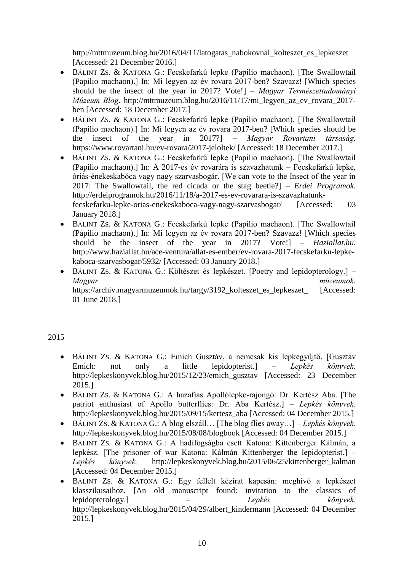http://mttmuzeum.blog.hu/2016/04/11/latogatas\_nabokovnal\_kolteszet\_es\_lepkeszet [Accessed: 21 December 2016.]

- BÁLINT ZS. & KATONA G.: Fecskefarkú lepke (Papilio machaon). [The Swallowtail (Papilio machaon).] In: Mi legyen az év rovara 2017-ben? Szavazz! [Which species should be the insect of the year in 2017? Vote!] – *Magyar Természettudományi Múzeum Blog*. http://mttmuzeum.blog.hu/2016/11/17/mi\_legyen\_az\_ev\_rovara\_2017 ben [Accessed: 18 December 2017.]
- BÁLINT ZS. & KATONA G.: Fecskefarkú lepke (Papilio machaon). [The Swallowtail (Papilio machaon).] In: Mi legyen az év rovara 2017-ben? [Which species should be the insect of the year in 2017?] – *Magyar Rovartani társaság.* https://www.rovartani.hu/ev-rovara/2017-jeloltek/ [Accessed: 18 December 2017.]
- BÁLINT ZS. & KATONA G.: Fecskefarkú lepke (Papilio machaon). [The Swallowtail (Papilio machaon).] In: A 2017-es év rovarára is szavazhatunk – Fecskefarkú lepke, óriás-énekeskabóca vagy nagy szarvasbogár. [We can vote to the Insect of the year in 2017: The Swallowtail, the red cicada or the stag beetle?] – *Erdei Programok.* http://erdeiprogramok.hu/2016/11/18/a-2017-es-ev-rovarara-is-szavazhatunkfecskefarku-lepke-orias-enekeskaboca-vagy-nagy-szarvasbogar/ [Accessed: 03 January 2018.]
- BÁLINT ZS. & KATONA G.: Fecskefarkú lepke (Papilio machaon). [The Swallowtail (Papilio machaon).] In: Mi legyen az év rovara 2017-ben? Szavazz! [Which species should be the insect of the year in 2017? Vote!] – *Haziallat.hu.* http://www.haziallat.hu/ace-ventura/allat-es-ember/ev-rovara-2017-fecskefarku-lepkekaboca-szarvasbogar/5932/ [Accessed: 03 January 2018.]
- BÁLINT ZS. & KATONA G.: Költészet és lepkészet. [Poetry and lepidopterology.] *Magyar múzeumok*. https://archiv.magyarmuzeumok.hu/targy/3192\_kolteszet\_es\_lepkeszet\_ [Accessed: 01 June 2018.]

### 2015

- BÁLINT ZS. & KATONA G.: Emich Gusztáv, a nemcsak kis lepkegyűjtő. [Gusztáv Emich: not only a little lepidopterist.] – *Lepkés könyvek.* http://lepkeskonyvek.blog.hu/2015/12/23/emich\_gusztav [Accessed: 23 December 2015.]
- BÁLINT ZS. & KATONA G.: A hazafias Apollólepke-rajongó: Dr. Kertész Aba. [The patriot enthusiast of Apollo butterflies: Dr. Aba Kertész.] – *Lepkés könyvek.* http://lepkeskonyvek.blog.hu/2015/09/15/kertesz\_aba [Accessed: 04 December 2015.]
- BÁLINT ZS. & KATONA G.: A blog elszáll… [The blog flies away…] *Lepkés könyvek.* http://lepkeskonyvek.blog.hu/2015/08/08/blogbook [Accessed: 04 December 2015.]
- BÁLINT ZS. & KATONA G.: A hadifogságba esett Katona: Kittenberger Kálmán, a lepkész. [The prisoner of war Katona: Kálmán Kittenberger the lepidopterist.] *– Lepkés könyvek.* http://lepkeskonyvek.blog.hu/2015/06/25/kittenberger\_kalman [Accessed: 04 December 2015.]
- BÁLINT ZS. & KATONA G.: Egy fellelt kézirat kapcsán: meghívó a lepkészet klasszikusaihoz. [An old manuscript found: invitation to the classics of lepidopterology.] – *Lepkés könyvek.* http://lepkeskonyvek.blog.hu/2015/04/29/albert\_kindermann [Accessed: 04 December 2015.]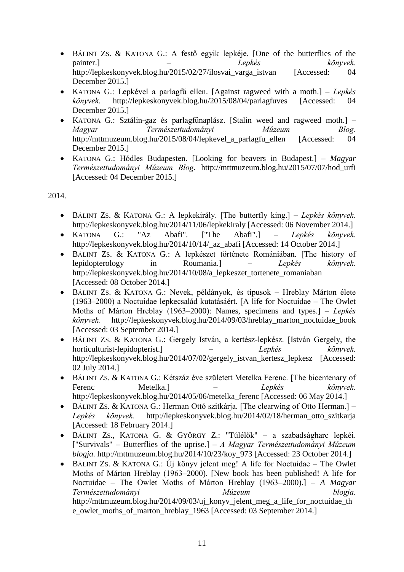- BÁLINT ZS. & KATONA G.: A festő egyik lepkéje. [One of the butterflies of the painter.] – *Lepkés könyvek.* http://lepkeskonyvek.blog.hu/2015/02/27/ilosvai\_varga\_istvan [Accessed: 04 December 2015.]
- KATONA G.: Lepkével a parlagfű ellen. [Against ragweed with a moth.] *Lepkés könyvek.* http://lepkeskonyvek.blog.hu/2015/08/04/parlagfuves [Accessed: 04 December 2015.]
- KATONA G.: Sztálin-gaz és parlagfűnaplász. [Stalin weed and ragweed moth.] *Magyar Természettudományi Múzeum Blog*. http://mttmuzeum.blog.hu/2015/08/04/lepkevel a parlagfu ellen [Accessed: 04 December 2015.]
- KATONA G.: Hódles Budapesten. [Looking for beavers in Budapest.] *Magyar Természettudományi Múzeum Blog*. http://mttmuzeum.blog.hu/2015/07/07/hod\_urfi [Accessed: 04 December 2015.]

- BÁLINT ZS. & KATONA G.: A lepkekirály. [The butterfly king.] *– Lepkés könyvek.*  http://lepkeskonyvek.blog.hu/2014/11/06/lepkekiraly [Accessed: 06 November 2014.]
- KATONA G.: "Az Abafi". ["The Abafi".] *– Lepkés könyvek.*  http://lepkeskonyvek.blog.hu/2014/10/14/\_az\_abafi [Accessed: 14 October 2014.]
- BÁLINT ZS. & KATONA G.: A lepkészet története Romániában. [The history of lepidopterology in Roumania.] *– Lepkés könyvek.*  http://lepkeskonyvek.blog.hu/2014/10/08/a\_lepkeszet\_tortenete\_romaniaban [Accessed: 08 October 2014.]
- BÁLINT ZS. & KATONA G.: Nevek, példányok, és típusok Hreblay Márton élete (1963–2000) a Noctuidae lepkecsalád kutatásáért. [A life for Noctuidae – The Owlet Moths of Márton Hreblay (1963–2000): Names, specimens and types.] *– Lepkés könyvek.* http://lepkeskonyvek.blog.hu/2014/09/03/hreblay\_marton\_noctuidae\_book [Accessed: 03 September 2014.]
- BÁLINT ZS. & KATONA G.: Gergely István, a kertész-lepkész. [István Gergely, the horticulturist-lepidopterist.] *– Lepkés könyvek.*  http://lepkeskonyvek.blog.hu/2014/07/02/gergely\_istvan\_kertesz\_lepkesz [Accessed: 02 July 2014.]
- BÁLINT ZS. & KATONA G.: Kétszáz éve született Metelka Ferenc. [The bicentenary of Ferenc Metelka.] *– Lepkés könyvek.*  http://lepkeskonyvek.blog.hu/2014/05/06/metelka\_ferenc [Accessed: 06 May 2014.]
- BÁLINT ZS. & KATONA G.: Herman Ottó szitkárja. [The clearwing of Otto Herman.] *– Lepkés könyvek.* http://lepkeskonyvek.blog.hu/2014/02/18/herman\_otto\_szitkarja [Accessed: 18 February 2014.]
- BÁLINT ZS., KATONA G. & GYÖRGY Z.: "Túlélők" a szabadságharc lepkéi. ["Survivals" – Butterflies of the uprise.] *– A Magyar Természettudományi Múzeum blogja.* http://mttmuzeum.blog.hu/2014/10/23/koy\_973 [Accessed: 23 October 2014.]
- BÁLINT ZS. & KATONA G.: Új könyv jelent meg! A life for Noctuidae The Owlet Moths of Márton Hreblay (1963–2000). [New book has been published! A life for Noctuidae – The Owlet Moths of Márton Hreblay (1963–2000).] *– A Magyar Természettudományi Múzeum blogja.*  http://mttmuzeum.blog.hu/2014/09/03/uj\_konyv\_jelent\_meg\_a\_life\_for\_noctuidae\_th e\_owlet\_moths\_of\_marton\_hreblay\_1963 [Accessed: 03 September 2014.]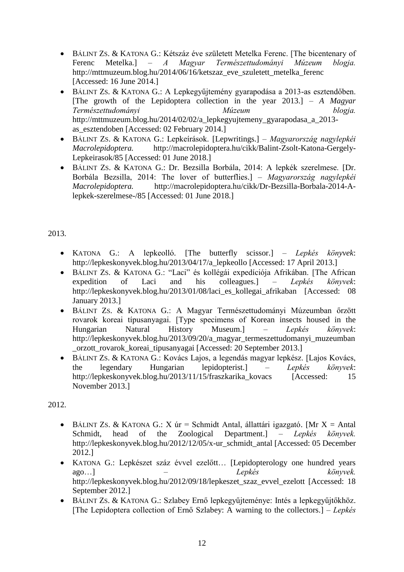- BÁLINT ZS. & KATONA G.: Kétszáz éve született Metelka Ferenc. [The bicentenary of Ferenc Metelka.] *– A Magyar Természettudományi Múzeum blogja.*  http://mttmuzeum.blog.hu/2014/06/16/ketszaz\_eve\_szuletett\_metelka\_ferenc [Accessed: 16 June 2014.]
- BÁLINT ZS. & KATONA G.: A Lepkegyűjtemény gyarapodása a 2013-as esztendőben. [The growth of the Lepidoptera collection in the year  $2013.$ ] – *A Magyar Természettudományi Múzeum blogja.*  http://mttmuzeum.blog.hu/2014/02/02/a\_lepkegyujtemeny\_gyarapodasa\_a\_2013 as\_esztendoben [Accessed: 02 February 2014.]
- BÁLINT ZS. & KATONA G.: Lepkeírások. [Lepwritings.] *Magyarország nagylepkéi Macrolepidoptera.* http://macrolepidoptera.hu/cikk/Balint-Zsolt-Katona-Gergely-Lepkeirasok/85 [Accessed: 01 June 2018.]
- BÁLINT ZS. & KATONA G.: Dr. Bezsilla Borbála, 2014: A lepkék szerelmese. [Dr. Borbála Bezsilla, 2014: The lover of butterflies.] – *Magyarország nagylepkéi Macrolepidoptera.* http://macrolepidoptera.hu/cikk/Dr-Bezsilla-Borbala-2014-Alepkek-szerelmese-/85 [Accessed: 01 June 2018.]

- KATONA G.: A lepkeolló. [The butterfly scissor.] *Lepkés könyvek*: http://lepkeskonyvek.blog.hu/2013/04/17/a\_lepkeollo [Accessed: 17 April 2013.]
- BÁLINT ZS. & KATONA G.: "Laci" és kollégái expedíciója Afrikában. [The African expedition of Laci and his colleagues.] – *Lepkés könyvek*: http://lepkeskonyvek.blog.hu/2013/01/08/laci\_es\_kollegai\_afrikaban [Accessed: 08 January 2013.]
- BÁLINT ZS. & KATONA G.: A Magyar Természettudományi Múzeumban őrzött rovarok koreai típusanyagai. [Type specimens of Korean insects housed in the Hungarian Natural History Museum.] – *Lepkés könyvek*: http://lepkeskonyvek.blog.hu/2013/09/20/a\_magyar\_termeszettudomanyi\_muzeumban \_orzott\_rovarok\_koreai\_tipusanyagai [Accessed: 20 September 2013.]
- BÁLINT ZS. & KATONA G.: Kovács Lajos, a legendás magyar lepkész. [Lajos Kovács, the legendary Hungarian lepidopterist.] – *Lepkés könyvek*: http://lepkeskonyvek.blog.hu/2013/11/15/fraszkarika kovacs [Accessed: 15 November 2013.]

- $\bullet$  BÁLINT ZS. & KATONA G.: X úr = Schmidt Antal, állattári igazgató. [Mr X = Antal] Schmidt, head of the Zoological Department.] – *Lepkés könyvek.* http://lepkeskonyvek.blog.hu/2012/12/05/x-ur\_schmidt\_antal [Accessed: 05 December 2012.]
- KATONA G.: Lepkészet száz évvel ezelőtt… [Lepidopterology one hundred years ago…] – *Lepkés könyvek.* http://lepkeskonyvek.blog.hu/2012/09/18/lepkeszet\_szaz\_evvel\_ezelott [Accessed: 18 September 2012.]
- BÁLINT ZS. & KATONA G.: Szlabey Ernő lepkegyűjteménye: Intés a lepkegyűjtőkhöz. [The Lepidoptera collection of Ernő Szlabey: A warning to the collectors.] – *Lepkés*